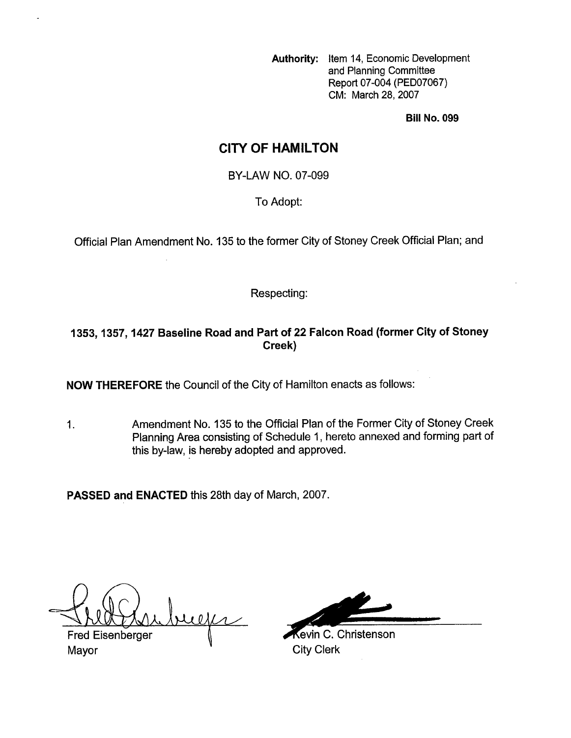**Authority:** Item 14, Economic Development and Planning Committee Report 07-004 (PED07067) CM: March 28, 2007

**Bill No. 099** 

# **CITY OF HAMILTON**

BY-LAW NO. 07-099

To Adopt:

Official Plan Amendment No. 135 to the former City of Stoney Creek Official Plan; and

#### Respecting:

# **1353,1357,1427 Baseline Road and Part of 22 Falcon Road (former City of Stoney Creek)**

**NOW THEREFORE** the Council of the City of Hamilton enacts as follows:

1. Amendment No. **135** to the Official Plan of the Former City of Stoney Creek Planning Area consisting of Schedule 1 , hereto annexed and forming part of this by-law, is hereby adopted and approved.

**PASSED and ENACTED** this 28th day of March, 2007.

refer

**Fred Eisenberger** Mayor **Mayor** City Clerk

**Kevin C. Christenson**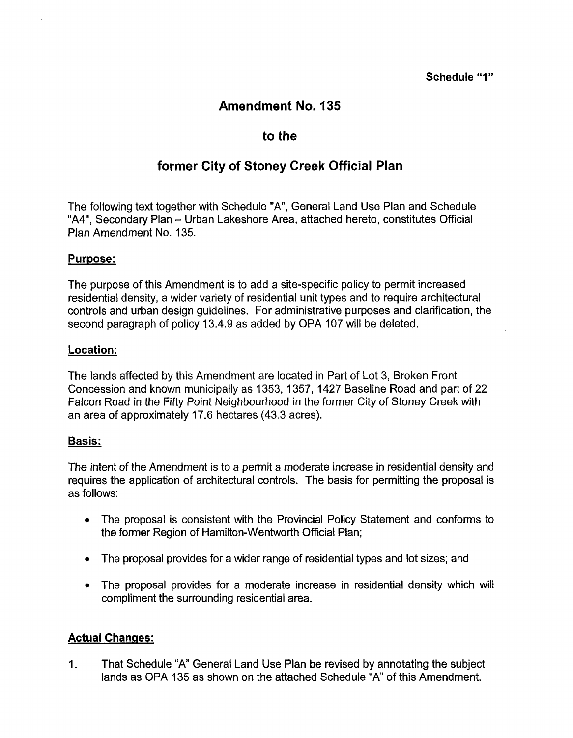## **Schedule** "I"

# **Amendment No. 135**

# **to the**

# **former City of Stoney Creek Official Plan**

The following text together with Schedule "A", General Land Use Plan and Schedule "A4", Secondary Plan - Urban Lakeshore Area, attached hereto, constitutes Official Plan Amendment No. 135.

### **Purpose:**

The purpose of this Amendment is to add a site-specific policy to permit increased residential density, a wider variety of residential unit types and to require architectural controls and urban design guidelines. For administrative purposes and clarification, the second paragraph of policy 13.4.9 as added by OPA 107 will be deleted.

### Location:

The lands affected by this Amendment are located in Part of Lot 3, Broken Front Concession and known municipally as 1353,1357,1427 Baseline Road and part of 22 Falcon Road in the Fifty Point Neighbourhood in the former City *of* Stoney Creek with an area of approximately 17.6 hectares (43.3 acres).

## **Basis:**

The intent of the Amendment is to a permit a moderate increase in residential density and requires the application of architectural controls. The basis for permitting the proposal is as follows:

- The proposal is consistent with the Provincial Policy Statement and conforms to  $\bullet$ the former Region of Hamilton-Wentworth Official Plan;
- The proposal provides for a wider range of residential types and lot sizes; and  $\bullet$
- The proposal provides for a moderate increase in residential density which will compliment the surrounding residential area.

## **Actual Changes:**

I. That Schedule "A" General Land Use Plan be revised by annotating the subject lands as OPA 135 as shown on the attached Schedule "A" of this Amendment.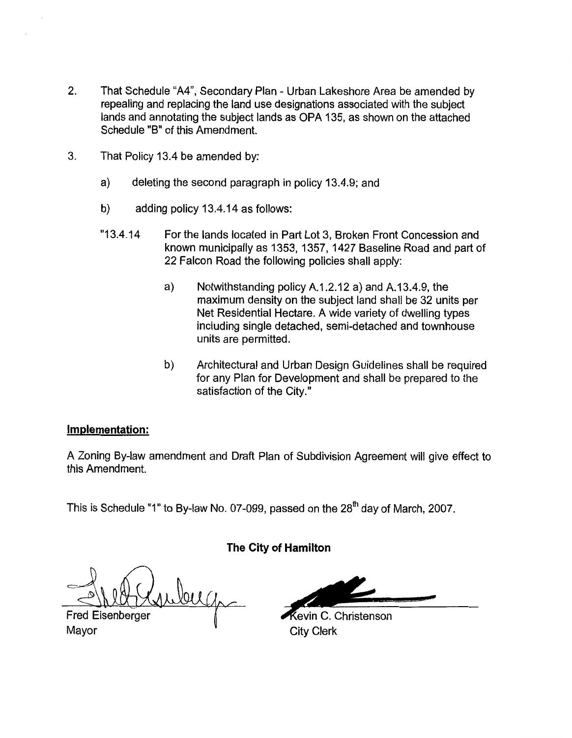- 2. That Schedule "A4", Secondary Plan Urban Lakeshore Area be amended by repealing and replacing the land use designations associated with the subject lands and annotating the subject lands as OPA 135, as shown on the attached Schedule "B" of this Amendment.
- 3. That Policy 13.4 be amended by:
	- a) deleting the second paragraph in policy 13.4.9; and
	- b) adding policy 13.4.14 as follows:
	- "1 3.4.14 For the lands located in Part Lot 3, Broken Front Concession and known municipally as 1353, 1357, 1427 Baseline Road and part of 22 Falcon Road the following policies shall apply:
		- a) Notwithstanding policy A.I.2.12 a) and A.13.4.9, the maximum density on the subject land shall be 32 units per Net Residential Hectare. A wide variety of dwelling types including single detached, semi-detached and townhouse units are permitted.
		- b) Architectural and Urban Design Guidelines shall be required for any Plan for Development and shall be prepared to the satisfaction of the City."

#### **Implementation:**

A Zoning By-law amendment and Draft Plan of Subdivision Agreement will give effect to this Amendment.

This is Schedule "1" to By-law No. 07-099, passed on the  $28<sup>th</sup>$  day of March, 2007.

**The City of Hamilton** 

buga

**Fred Eisenberger** Mayor

evin C. Christenson City Clerk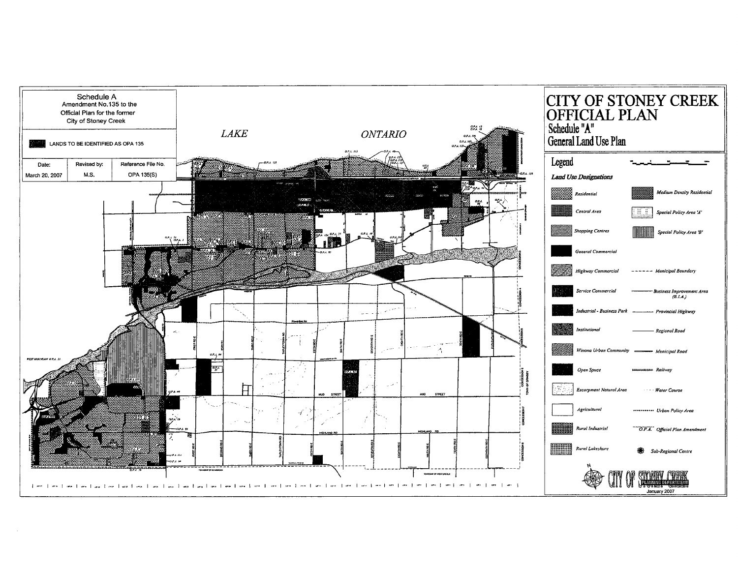